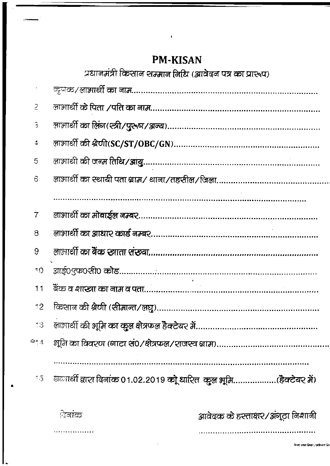## **PM-KISAN**

 $\epsilon$ 

|                              | प्रधानमंत्री किसान सम्मान निधि (आवेदन पत्र का प्रास्वप)           |
|------------------------------|-------------------------------------------------------------------|
|                              |                                                                   |
| $\overline{2}$               |                                                                   |
| 3                            |                                                                   |
| $\downarrow$                 |                                                                   |
| 5                            |                                                                   |
| 6                            |                                                                   |
|                              |                                                                   |
| $\tau$                       |                                                                   |
| 8                            |                                                                   |
| 9                            |                                                                   |
| 10                           |                                                                   |
| 11                           |                                                                   |
| $^{\circ}2$                  |                                                                   |
| $\left( \frac{1}{2} \right)$ |                                                                   |
| $\bigotimes_{i=1}^n A_i$     |                                                                   |
|                              |                                                                   |
| $15 -$                       | लालार्थी द्वारा दिनांक 01.02.2019 को धारित कुल भूमि(हैक्टैयर में) |
|                              |                                                                   |
|                              |                                                                   |

्रिजांक

. . . . . . . . . . . . . . .

आवेदक के हस्ताक्षर/अंगूठा निशानी

ਹਿਕਰ ਤਰਕ ਪ੍ਰੇਜਵਾ*ਂ ਭਾ*ਸ਼ਿਕਾਰ ਸਿ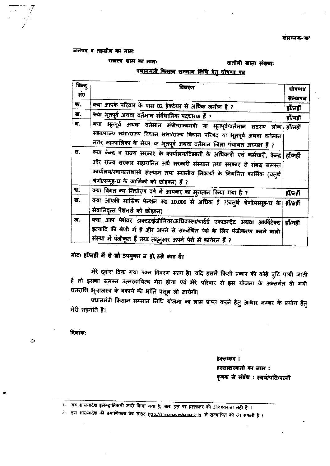#### जनपद व तहसीस का नामः

राजस्व याम का जाता.

#### बर्तानी खाता संख्याः

### प्रधानमंत्री किसान सम्मान मिथि हेतु घोषणा पत्र

| बिन्द                     | विवरण                                                                                   | घोषणा⁄    |
|---------------------------|-----------------------------------------------------------------------------------------|-----------|
| सं0                       |                                                                                         | सत्यापन   |
| $\blacksquare$            | क्या आपके परिवार के पास 02 हेक्टेयर से अधिक जमीन है ?                                   | हॉं/नहीं  |
| $\overline{\mathbf{a}}$ . | क्या भूतपूर्व अथवा वर्तमान संवैधानिक पदधारक हैं ?                                       | हॉं/नहीं  |
| ग.                        | क्या भूतपूर्व अथवा वर्तमान मंत्री/राज्यमंत्री या भूतपूर्व/वर्तमान सदस्य लोक             | हॉं/नहीं  |
|                           | सभा/राज्य सभा/राज्य विधान सभा/राज्य विधान परिषद या भूतपूर्व अथवा वर्तमान                |           |
|                           | <u>नगर म</u> हापालिका के मेयर या भूतपूर्व अथवा वर्तमान जिला पंचायत अध्यक्ष हैं ?        |           |
| ष.                        | क्या केन्द्र व राज्य सरकार के कार्यालय/विभागों के अधिकारी एवं कर्मचारी, केन्द्र हॉ/नहीं |           |
|                           | और राज्य सरकार सहायतित अर्घ सरकारी संस्थान तथा सरकार से संबद्ध समस्त                    |           |
|                           | कार्यालय/स्वायत्तशासी संस्थान तथा स्थानीय निकार्यों के नियमित कार्मिक (चतुर्थ           |           |
|                           | श्रेणी/समूह-घ के कार्मिकों को छोड़कर) हैं ?                                             |           |
| Ч.                        | क्या विगत कर निर्धारण वर्ष में आयकर का भुगतान किया गया है ?                             | हॉं/नहीं  |
| <b>B.</b>                 | क्या आपकी मासिक पेन्शन रू0 10,000 से अधिक है ?(चतुर्थ श्रेणी/समूह-घ के                  | हॉं/लहीं  |
|                           | सेवानिवृत्त पैशनर्स को छोड़कर)                                                          |           |
| ज.                        | क्या आप पेशेवर डाक्टर/इंजीनियर/अधिवक्ता/चार्टर्ड एकाउन्टेंट अथवा आर्कीटेक्ट             | हॉॅं/नहीं |
|                           | इत्यादि की श्रेणी में हैं और अपने से सम्बंधित पेशे के लिए पंजीकरण करने वाली             |           |
|                           | संस्था में पंजीकृत हैं तथा तदनुसार अपने पेशे में कार्यरत हैं ?                          |           |

### नोटः हॉं/नहीं में से जो उपयुक्त न हो, उसे काट दें।

मेरे द्वारा दिया गया उक्त विवरण सत्य है। यदि इसमें किसी प्रकार की कोई त्रुटि पायी जाती है तो इसका समस्त उत्तरदायित्व मेरा होगा एवं मेरे परिवार से इस योजना के अन्तर्गत दी गयी धनराशि भू-राजस्व के बकाये की भांति वसूल ली जायेगी।

प्रधानमंत्री किसान सम्मान निधि योजना का लाभ प्राप्त करने हेतु आधार नम्बर के प्रयोग हेतु मेरी सहमति है।

दिनांक:

हस्ताकर:

हस्ताशरकर्ता का नाम : कृषक से संबंध : स्वयं/पति/पत्नी

1- यह शासनादेश इलेक्ट्रानिकली जारी किया गया है, अत: इस पर हस्ताबार की आवश्यकता नहीं है ।

2- इस शासनादेश की प्रमाणिकता वेब साइट http://shasanadesh.up.nk.in से सत्यापित की जा सकती है ।

 $\mathbb{Q}$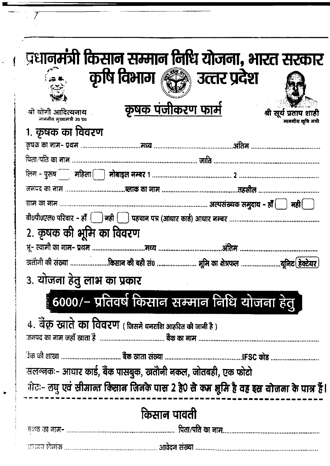| प्रधानमंत्री किसान सम्मान निधि योजना, भारत सरकार                                                                               |  |  |
|--------------------------------------------------------------------------------------------------------------------------------|--|--|
| कृषि विभाग (हिन्द्री) उत्तर प्रदेश                                                                                             |  |  |
| <u>कृषक पंजीकरण फार्म</u><br>श्रो योगी आदित्यनाथ<br>श्री सूर्य प्रताप शाही<br>माननीय मुख्यमंत्री उ० प्र०<br>माननीय कृषि मंत्री |  |  |
| 1. कृषक का विवरण                                                                                                               |  |  |
|                                                                                                                                |  |  |
|                                                                                                                                |  |  |
|                                                                                                                                |  |  |
|                                                                                                                                |  |  |
|                                                                                                                                |  |  |
|                                                                                                                                |  |  |
| 2. कृषक की भूमि का विवरण                                                                                                       |  |  |
|                                                                                                                                |  |  |
|                                                                                                                                |  |  |
| 3. योजना हेतु लाभ का प्रकार                                                                                                    |  |  |
| : 6000/- प्रतिवर्ष किसान सम्मान निधि योजना हेतु                                                                                |  |  |
| 4. बेंक़ खाते का विवरण (जिसमें धनराशि आहरित की जानी है)                                                                        |  |  |
|                                                                                                                                |  |  |
| सलग्नकः- आधार कार्ड, बैंक पासबुक, खतौनी नकल, जोतबही, एक फोटो                                                                   |  |  |
| ोटः- लघु एवं सीमान्त किसान जिनके पास 2 है0 से कम भूमि है वह इस योजना के पात्र हैं।                                             |  |  |
| किसान पावती                                                                                                                    |  |  |
|                                                                                                                                |  |  |
|                                                                                                                                |  |  |

 $\frac{1}{2}$